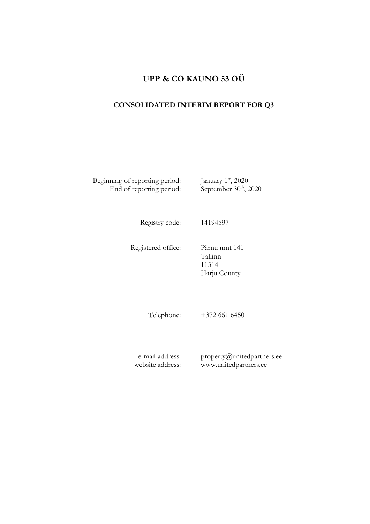# **UPP & CO KAUNO 53 OÜ**

# **CONSOLIDATED INTERIM REPORT FOR Q3**

Beginning of reporting period: End of reporting period: st , 2020  $t^{\text{th}}$ , 2020

Registry code: 14194597

Registered office: Pärnu mnt 141

Tallinn 11314 Harju County

Telephone: +372 661 6450

e-mail address: website address: property@unitedpartners.ee www.unitedpartners.ee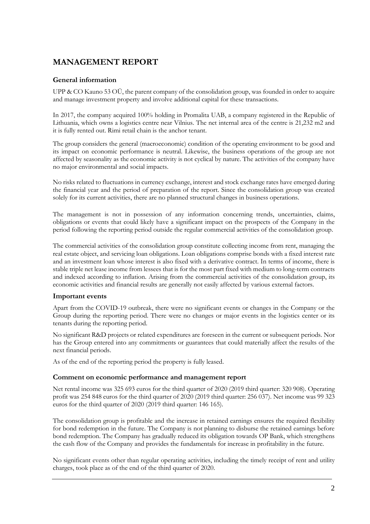# **MANAGEMENT REPORT**

## **General information**

UPP & CO Kauno 53 OÜ, the parent company of the consolidation group, was founded in order to acquire and manage investment property and involve additional capital for these transactions.

In 2017, the company acquired 100% holding in Promalita UAB, a company registered in the Republic of Lithuania, which owns a logistics centre near Vilnius. The net internal area of the centre is 21,232 m2 and it is fully rented out. Rimi retail chain is the anchor tenant.

The group considers the general (macroeconomic) condition of the operating environment to be good and its impact on economic performance is neutral. Likewise, the business operations of the group are not affected by seasonality as the economic activity is not cyclical by nature. The activities of the company have no major environmental and social impacts.

No risks related to fluctuations in currency exchange, interest and stock exchange rates have emerged during the financial year and the period of preparation of the report. Since the consolidation group was created solely for its current activities, there are no planned structural changes in business operations.

The management is not in possession of any information concerning trends, uncertainties, claims, obligations or events that could likely have a significant impact on the prospects of the Company in the period following the reporting period outside the regular commercial activities of the consolidation group.

The commercial activities of the consolidation group constitute collecting income from rent, managing the real estate object, and servicing loan obligations. Loan obligations comprise bonds with a fixed interest rate and an investment loan whose interest is also fixed with a derivative contract. In terms of income, there is stable triple net lease income from lessees that is for the most part fixed with medium to long-term contracts and indexed according to inflation. Arising from the commercial activities of the consolidation group, its economic activities and financial results are generally not easily affected by various external factors.

## **Important events**

Apart from the COVID-19 outbreak, there were no significant events or changes in the Company or the Group during the reporting period. There were no changes or major events in the logistics center or its tenants during the reporting period.

No significant R&D projects or related expenditures are foreseen in the current or subsequent periods. Nor has the Group entered into any commitments or guarantees that could materially affect the results of the next financial periods.

As of the end of the reporting period the property is fully leased.

## **Comment on economic performance and management report**

Net rental income was 325 693 euros for the third quarter of 2020 (2019 third quarter: 320 908). Operating profit was 254 848 euros for the third quarter of 2020 (2019 third quarter: 256 037). Net income was 99 323 euros for the third quarter of 2020 (2019 third quarter: 146 165).

The consolidation group is profitable and the increase in retained earnings ensures the required flexibility for bond redemption in the future. The Company is not planning to disburse the retained earnings before bond redemption. The Company has gradually reduced its obligation towards OP Bank, which strengthens the cash flow of the Company and provides the fundamentals for increase in profitability in the future.

No significant events other than regular operating activities, including the timely receipt of rent and utility charges, took place as of the end of the third quarter of 2020.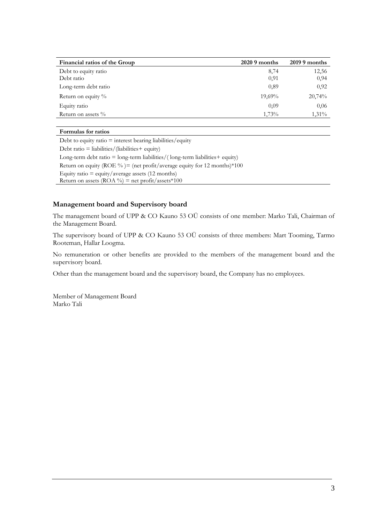| Financial ratios of the Group | $2020.9$ months | $2019.9$ months |
|-------------------------------|-----------------|-----------------|
| Debt to equity ratio          | 8,74            | 12,56           |
| Debt ratio                    | 0,91            | 0,94            |
| Long-term debt ratio          | 0,89            | 0,92            |
| Return on equity $\%$         | 19,69%          | 20,74%          |
| Equity ratio                  | 0.09            | 0.06            |
| Return on assets %            | 1,73%           | $1,31\%$        |

#### **Formulas for ratios**

Debt to equity ratio  $=$  interest bearing liabilities/equity Debt ratio = liabilities/(liabilities+ equity) Long-term debt ratio =  $long-term$  liabilities/(long-term liabilities + equity) Return on equity (ROE %) = (net profit/average equity for 12 months)  $*100$ Equity ratio  $=$  equity/average assets (12 months) Return on assets  $(ROA \%)$  = net profit/assets\*100

#### **Management board and Supervisory board**

The management board of UPP & CO Kauno 53 OÜ consists of one member: Marko Tali, Chairman of the Management Board.

The supervisory board of UPP & CO Kauno 53 OÜ consists of three members: Mart Tooming, Tarmo Rooteman, Hallar Loogma.

No remuneration or other benefits are provided to the members of the management board and the supervisory board.

Other than the management board and the supervisory board, the Company has no employees.

Member of Management Board Marko Tali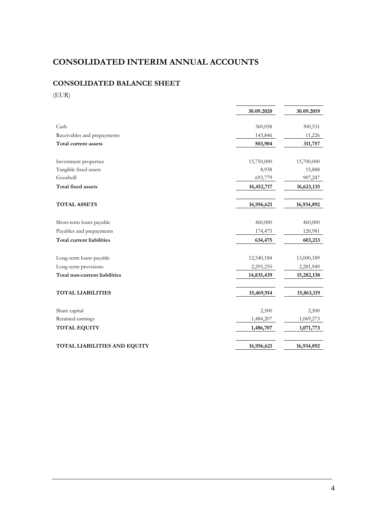# **CONSOLIDATED INTERIM ANNUAL ACCOUNTS**

# **CONSOLIDATED BALANCE SHEET**

(EUR)

|                                  | 30.09.2020 | 30.09.2019 |
|----------------------------------|------------|------------|
| Cash                             | 360,058    | 300,531    |
| Receivables and prepayments      | 143,846    | 11,226     |
| Total current assets             | 503,904    | 311,757    |
|                                  |            |            |
| Investment properties            | 15,750,000 | 15,700,000 |
| Tangible fixed assets            | 8,938      | 15,888     |
| Goodwill                         | 693,779    | 907,247    |
| Total fixed assets               | 16,452,717 | 16,623,135 |
| <b>TOTAL ASSETS</b>              | 16,956,621 | 16,934,892 |
| Short-term loans payable         | 460,000    | 460,000    |
| Payables and prepayments         | 174,475    | 120,981    |
| <b>Total current liabilities</b> | 634,475    | 603,213    |
| Long-term loans payable          | 12,540,184 | 13,000,189 |
| Long-term provisions             | 2,295,255  | 2,281,949  |
| Total non-current liabilities    | 14,835,439 | 15,282,138 |
| <b>TOTAL LIABILITIES</b>         | 15,469,914 | 15,863,119 |
|                                  |            |            |
| Share capital                    | 2,500      | 2,500      |
| Retained earnings                | 1,484,207  | 1,069,273  |
| <b>TOTAL EQUITY</b>              | 1,486,707  | 1,071,773  |
| TOTAL LIABILITIES AND EQUITY     | 16,956,621 | 16,934,892 |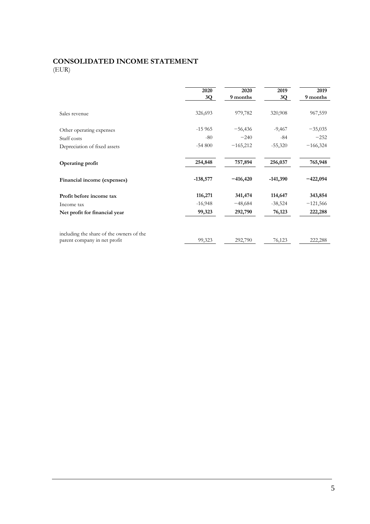# **CONSOLIDATED INCOME STATEMENT** (EUR)

|                                                                          | 2020<br>3Q | 2020<br>9 months | 2019<br>3Q | 2019<br>9 months |
|--------------------------------------------------------------------------|------------|------------------|------------|------------------|
| Sales revenue                                                            | 326,693    | 979,782          | 320,908    | 967,559          |
| Other operating expenses                                                 | $-15965$   | $-56,436$        | $-9,467$   | $-35,035$        |
| Staff costs                                                              | $-80$      | $-240$           | $-84$      | $-252$           |
| Depreciation of fixed assets                                             | $-54800$   | $-165,212$       | $-55,320$  | $-166,324$       |
| Operating profit                                                         | 254,848    | 757,894          | 256,037    | 765,948          |
| Financial income (expenses)                                              | $-138,577$ | $-416,420$       | $-141,390$ | $-422,094$       |
| Profit before income tax                                                 | 116,271    | 341,474          | 114,647    | 343,854          |
| Income tax                                                               | $-16,948$  | $-48,684$        | $-38,524$  | $-121,566$       |
| Net profit for financial year                                            | 99,323     | 292,790          | 76,123     | 222,288          |
| including the share of the owners of the<br>parent company in net profit | 99,323     | 292,790          | 76,123     | 222,288          |